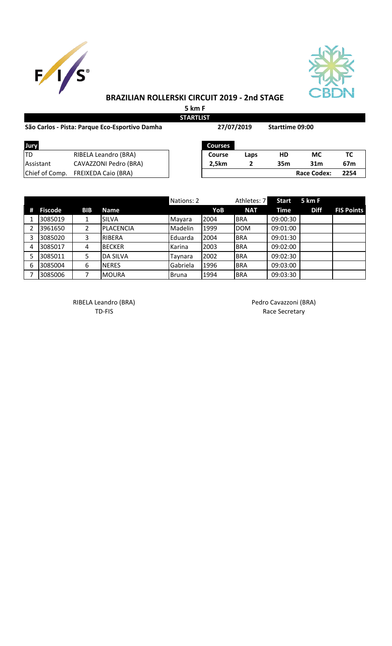



## **BRAZILIAN ROLLERSKI CIRCUIT 2019 - 2nd STAGE**

**5 km F**

| <b>STARTLIST</b>                               |                            |  |                |      |                 |                    |                 |  |  |
|------------------------------------------------|----------------------------|--|----------------|------|-----------------|--------------------|-----------------|--|--|
| São Carlos - Pista: Parque Eco-Esportivo Damha |                            |  | 27/07/2019     |      | Starttime 09:00 |                    |                 |  |  |
| Jury                                           |                            |  | <b>Courses</b> |      |                 |                    |                 |  |  |
| ltd                                            | RIBELA Leandro (BRA)       |  | <b>Course</b>  | Laps | <b>HD</b>       | <b>MC</b>          | ТC              |  |  |
| <b>Assistant</b>                               | CAVAZZONI Pedro (BRA)      |  | 2.5km          | 2    | 35m             | 31 <sub>m</sub>    | 67 <sub>m</sub> |  |  |
| Chief of Comp.                                 | <b>FREIXEDA Caio (BRA)</b> |  |                |      |                 | <b>Race Codex:</b> | 2254            |  |  |

|    |                |            |                 | Nations: 2   |      | Athletes: 7 | <b>Start</b> | 5 km F      |                   |
|----|----------------|------------|-----------------|--------------|------|-------------|--------------|-------------|-------------------|
| #  | <b>Fiscode</b> | <b>BIB</b> | <b>Name</b>     |              | YoB  | <b>NAT</b>  | Time         | <b>Diff</b> | <b>FIS Points</b> |
|    | 3085019        |            | <b>SILVA</b>    | Mayara       | 2004 | <b>BRA</b>  | 09:00:30     |             |                   |
|    | 3961650        | 2          | PLACENCIA       | Madelin      | 1999 | <b>DOM</b>  | 09:01:00     |             |                   |
|    | 3085020        | 3          | RIBERA          | Eduarda      | 2004 | <b>BRA</b>  | 09:01:30     |             |                   |
| 4  | 3085017        | 4          | <b>BECKER</b>   | Karina       | 2003 | <b>BRA</b>  | 09:02:00     |             |                   |
|    | 3085011        | 5          | <b>DA SILVA</b> | Taynara      | 2002 | <b>BRA</b>  | 09:02:30     |             |                   |
| -6 | 3085004        | 6          | <b>INERES</b>   | Gabriela     | 1996 | <b>BRA</b>  | 09:03:00     |             |                   |
|    | 3085006        |            | <b>MOURA</b>    | <b>Bruna</b> | 1994 | <b>BRA</b>  | 09:03:30     |             |                   |

RIBELA Leandro (BRA) and a control of the Pedro Cavazzoni (BRA)

TD-FIS Race Secretary